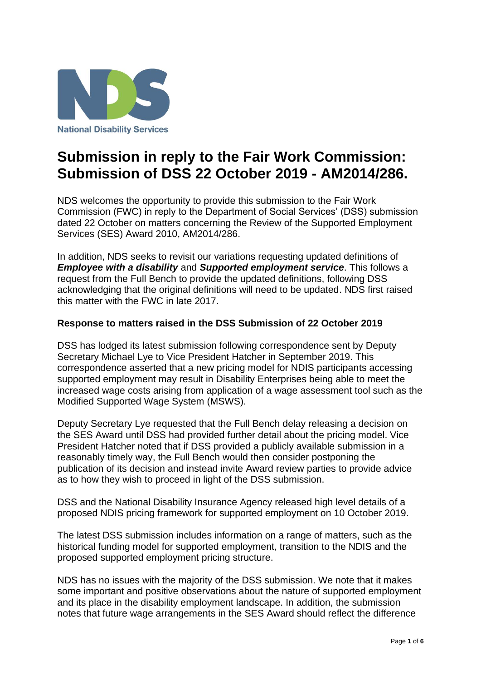

# **Submission in reply to the Fair Work Commission: Submission of DSS 22 October 2019 - AM2014/286.**

NDS welcomes the opportunity to provide this submission to the Fair Work Commission (FWC) in reply to the Department of Social Services' (DSS) submission dated 22 October on matters concerning the Review of the Supported Employment Services (SES) Award 2010, AM2014/286.

In addition, NDS seeks to revisit our variations requesting updated definitions of *Employee with a disability* and *Supported employment service*. This follows a request from the Full Bench to provide the updated definitions, following DSS acknowledging that the original definitions will need to be updated. NDS first raised this matter with the FWC in late 2017.

## **Response to matters raised in the DSS Submission of 22 October 2019**

DSS has lodged its latest submission following correspondence sent by Deputy Secretary Michael Lye to Vice President Hatcher in September 2019. This correspondence asserted that a new pricing model for NDIS participants accessing supported employment may result in Disability Enterprises being able to meet the increased wage costs arising from application of a wage assessment tool such as the Modified Supported Wage System (MSWS).

Deputy Secretary Lye requested that the Full Bench delay releasing a decision on the SES Award until DSS had provided further detail about the pricing model. Vice President Hatcher noted that if DSS provided a publicly available submission in a reasonably timely way, the Full Bench would then consider postponing the publication of its decision and instead invite Award review parties to provide advice as to how they wish to proceed in light of the DSS submission.

DSS and the National Disability Insurance Agency released high level details of a proposed NDIS pricing framework for supported employment on 10 October 2019.

The latest DSS submission includes information on a range of matters, such as the historical funding model for supported employment, transition to the NDIS and the proposed supported employment pricing structure.

NDS has no issues with the majority of the DSS submission. We note that it makes some important and positive observations about the nature of supported employment and its place in the disability employment landscape. In addition, the submission notes that future wage arrangements in the SES Award should reflect the difference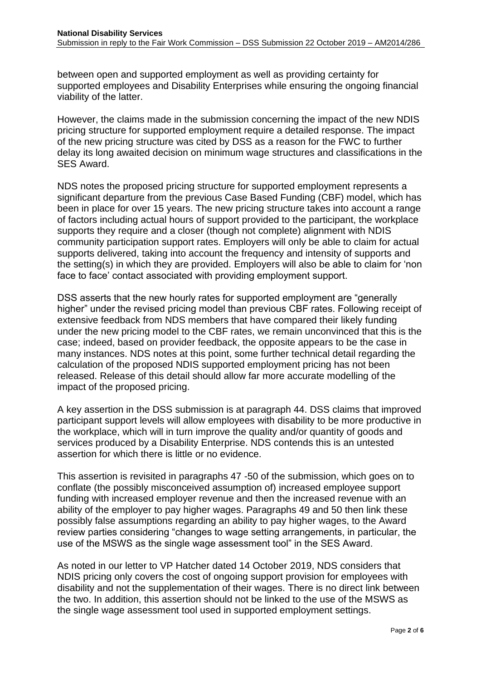between open and supported employment as well as providing certainty for supported employees and Disability Enterprises while ensuring the ongoing financial viability of the latter.

However, the claims made in the submission concerning the impact of the new NDIS pricing structure for supported employment require a detailed response. The impact of the new pricing structure was cited by DSS as a reason for the FWC to further delay its long awaited decision on minimum wage structures and classifications in the SES Award.

NDS notes the proposed pricing structure for supported employment represents a significant departure from the previous Case Based Funding (CBF) model, which has been in place for over 15 years. The new pricing structure takes into account a range of factors including actual hours of support provided to the participant, the workplace supports they require and a closer (though not complete) alignment with NDIS community participation support rates. Employers will only be able to claim for actual supports delivered, taking into account the frequency and intensity of supports and the setting(s) in which they are provided. Employers will also be able to claim for 'non face to face' contact associated with providing employment support.

DSS asserts that the new hourly rates for supported employment are "generally higher" under the revised pricing model than previous CBF rates. Following receipt of extensive feedback from NDS members that have compared their likely funding under the new pricing model to the CBF rates, we remain unconvinced that this is the case; indeed, based on provider feedback, the opposite appears to be the case in many instances. NDS notes at this point, some further technical detail regarding the calculation of the proposed NDIS supported employment pricing has not been released. Release of this detail should allow far more accurate modelling of the impact of the proposed pricing.

A key assertion in the DSS submission is at paragraph 44. DSS claims that improved participant support levels will allow employees with disability to be more productive in the workplace, which will in turn improve the quality and/or quantity of goods and services produced by a Disability Enterprise. NDS contends this is an untested assertion for which there is little or no evidence.

This assertion is revisited in paragraphs 47 -50 of the submission, which goes on to conflate (the possibly misconceived assumption of) increased employee support funding with increased employer revenue and then the increased revenue with an ability of the employer to pay higher wages. Paragraphs 49 and 50 then link these possibly false assumptions regarding an ability to pay higher wages, to the Award review parties considering "changes to wage setting arrangements, in particular, the use of the MSWS as the single wage assessment tool" in the SES Award.

As noted in our letter to VP Hatcher dated 14 October 2019, NDS considers that NDIS pricing only covers the cost of ongoing support provision for employees with disability and not the supplementation of their wages. There is no direct link between the two. In addition, this assertion should not be linked to the use of the MSWS as the single wage assessment tool used in supported employment settings.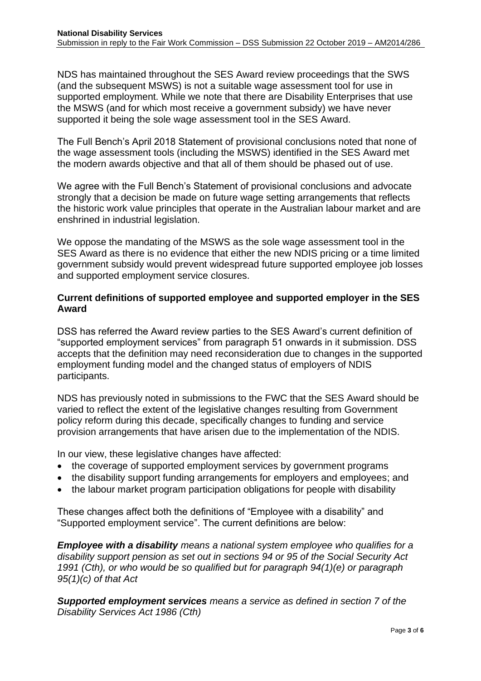NDS has maintained throughout the SES Award review proceedings that the SWS (and the subsequent MSWS) is not a suitable wage assessment tool for use in supported employment. While we note that there are Disability Enterprises that use the MSWS (and for which most receive a government subsidy) we have never supported it being the sole wage assessment tool in the SES Award.

The Full Bench's April 2018 Statement of provisional conclusions noted that none of the wage assessment tools (including the MSWS) identified in the SES Award met the modern awards objective and that all of them should be phased out of use.

We agree with the Full Bench's Statement of provisional conclusions and advocate strongly that a decision be made on future wage setting arrangements that reflects the historic work value principles that operate in the Australian labour market and are enshrined in industrial legislation.

We oppose the mandating of the MSWS as the sole wage assessment tool in the SES Award as there is no evidence that either the new NDIS pricing or a time limited government subsidy would prevent widespread future supported employee job losses and supported employment service closures.

#### **Current definitions of supported employee and supported employer in the SES Award**

DSS has referred the Award review parties to the SES Award's current definition of "supported employment services" from paragraph 51 onwards in it submission. DSS accepts that the definition may need reconsideration due to changes in the supported employment funding model and the changed status of employers of NDIS participants.

NDS has previously noted in submissions to the FWC that the SES Award should be varied to reflect the extent of the legislative changes resulting from Government policy reform during this decade, specifically changes to funding and service provision arrangements that have arisen due to the implementation of the NDIS.

In our view, these legislative changes have affected:

- the coverage of supported employment services by government programs
- the disability support funding arrangements for employers and employees; and
- the labour market program participation obligations for people with disability

These changes affect both the definitions of "Employee with a disability" and "Supported employment service". The current definitions are below:

*Employee with a disability means a national system employee who qualifies for a disability support pension as set out in sections 94 or 95 of the Social Security Act 1991 (Cth), or who would be so qualified but for paragraph 94(1)(e) or paragraph 95(1)(c) of that Act*

*Supported employment services means a service as defined in section 7 of the Disability Services Act 1986 (Cth)*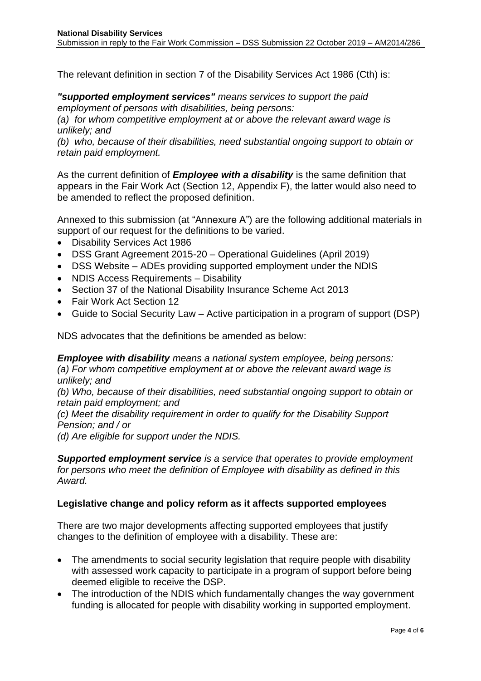The relevant definition in section 7 of the Disability Services Act 1986 (Cth) is:

*"supported employment services" means services to support the paid employment of persons with disabilities, being persons:*

*(a) for whom competitive employment at or above the relevant award wage is unlikely; and*

*(b) who, because of their disabilities, need substantial ongoing support to obtain or retain paid employment.*

As the current definition of *Employee with a disability* is the same definition that appears in the Fair Work Act (Section 12, Appendix F), the latter would also need to be amended to reflect the proposed definition.

Annexed to this submission (at "Annexure A") are the following additional materials in support of our request for the definitions to be varied.

- Disability Services Act 1986
- DSS Grant Agreement 2015-20 Operational Guidelines (April 2019)
- DSS Website ADEs providing supported employment under the NDIS
- NDIS Access Requirements Disability
- Section 37 of the National Disability Insurance Scheme Act 2013
- Fair Work Act Section 12
- Guide to Social Security Law Active participation in a program of support (DSP)

NDS advocates that the definitions be amended as below:

*Employee with disability means a national system employee, being persons: (a) For whom competitive employment at or above the relevant award wage is unlikely; and*

*(b) Who, because of their disabilities, need substantial ongoing support to obtain or retain paid employment; and*

*(c) Meet the disability requirement in order to qualify for the Disability Support Pension; and / or*

*(d) Are eligible for support under the NDIS.*

*Supported employment service is a service that operates to provide employment for persons who meet the definition of Employee with disability as defined in this Award.*

#### **Legislative change and policy reform as it affects supported employees**

There are two major developments affecting supported employees that justify changes to the definition of employee with a disability. These are:

- The amendments to social security legislation that require people with disability with assessed work capacity to participate in a program of support before being deemed eligible to receive the DSP.
- The introduction of the NDIS which fundamentally changes the way government funding is allocated for people with disability working in supported employment.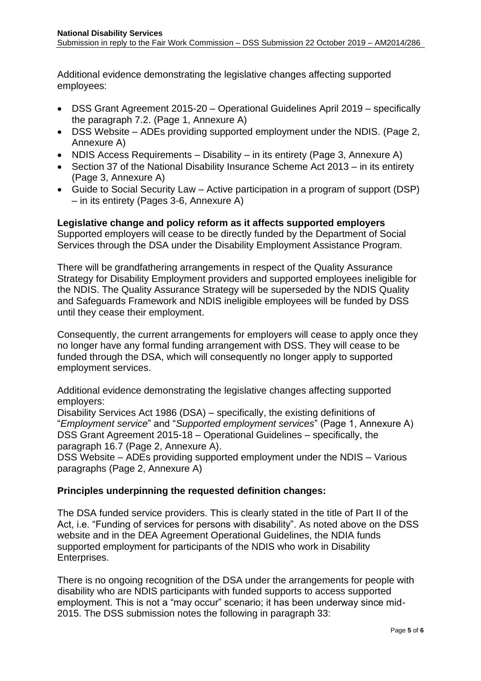Additional evidence demonstrating the legislative changes affecting supported employees:

- DSS Grant Agreement 2015-20 Operational Guidelines April 2019 specifically the paragraph 7.2. (Page 1, Annexure A)
- DSS Website ADEs providing supported employment under the NDIS. (Page 2, Annexure A)
- NDIS Access Requirements Disability in its entirety (Page 3, Annexure A)
- Section 37 of the National Disability Insurance Scheme Act 2013 in its entirety (Page 3, Annexure A)
- Guide to Social Security Law Active participation in a program of support (DSP) – in its entirety (Pages 3-6, Annexure A)

**Legislative change and policy reform as it affects supported employers** Supported employers will cease to be directly funded by the Department of Social Services through the DSA under the Disability Employment Assistance Program.

There will be grandfathering arrangements in respect of the Quality Assurance Strategy for Disability Employment providers and supported employees ineligible for the NDIS. The Quality Assurance Strategy will be superseded by the NDIS Quality and Safeguards Framework and NDIS ineligible employees will be funded by DSS until they cease their employment.

Consequently, the current arrangements for employers will cease to apply once they no longer have any formal funding arrangement with DSS. They will cease to be funded through the DSA, which will consequently no longer apply to supported employment services.

Additional evidence demonstrating the legislative changes affecting supported employers:

Disability Services Act 1986 (DSA) – specifically, the existing definitions of "*Employment service*" and "*Supported employment services*" (Page 1, Annexure A) DSS Grant Agreement 2015-18 – Operational Guidelines – specifically, the paragraph 16.7 (Page 2, Annexure A).

DSS Website – ADEs providing supported employment under the NDIS – Various paragraphs (Page 2, Annexure A)

## **Principles underpinning the requested definition changes:**

The DSA funded service providers. This is clearly stated in the title of Part II of the Act, i.e. "Funding of services for persons with disability". As noted above on the DSS website and in the DEA Agreement Operational Guidelines, the NDIA funds supported employment for participants of the NDIS who work in Disability Enterprises.

There is no ongoing recognition of the DSA under the arrangements for people with disability who are NDIS participants with funded supports to access supported employment. This is not a "may occur" scenario; it has been underway since mid-2015. The DSS submission notes the following in paragraph 33: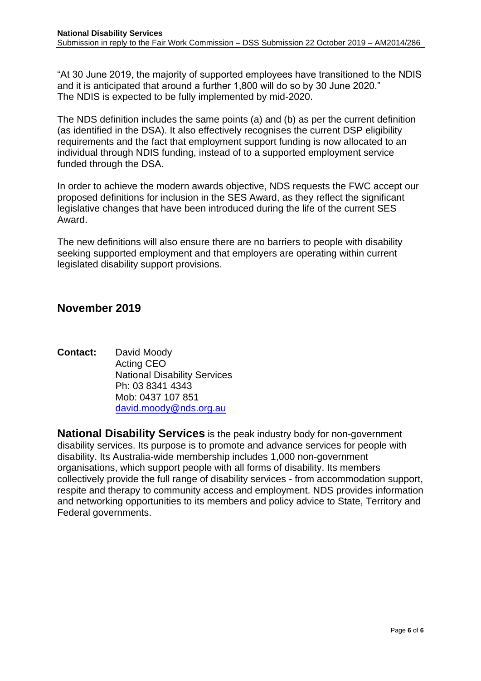"At 30 June 2019, the majority of supported employees have transitioned to the NDIS and it is anticipated that around a further 1,800 will do so by 30 June 2020." The NDIS is expected to be fully implemented by mid-2020.

The NDS definition includes the same points (a) and (b) as per the current definition (as identified in the DSA). It also effectively recognises the current DSP eligibility requirements and the fact that employment support funding is now allocated to an individual through NDIS funding, instead of to a supported employment service funded through the DSA.

In order to achieve the modern awards objective, NDS requests the FWC accept our proposed definitions for inclusion in the SES Award, as they reflect the significant legislative changes that have been introduced during the life of the current SES Award.

The new definitions will also ensure there are no barriers to people with disability seeking supported employment and that employers are operating within current legislated disability support provisions.

## **November 2019**

**Contact:** David Moody Acting CEO National Disability Services Ph: 03 8341 4343 Mob: 0437 107 851 [david.moody@nds.org.au](mailto:david.moody@nds.org.au)

**National Disability Services** is the peak industry body for non-government disability services. Its purpose is to promote and advance services for people with disability. Its Australia-wide membership includes 1,000 non-government organisations, which support people with all forms of disability. Its members collectively provide the full range of disability services - from accommodation support, respite and therapy to community access and employment. NDS provides information and networking opportunities to its members and policy advice to State, Territory and Federal governments.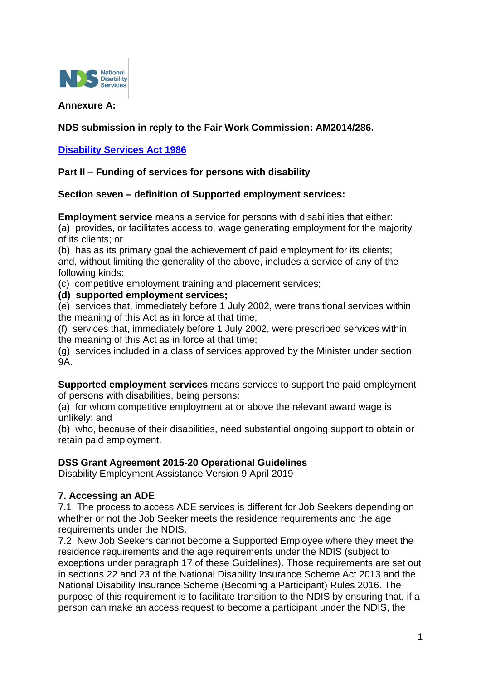

## **Annexure A:**

## **NDS submission in reply to the Fair Work Commission: AM2014/286.**

## **[Disability Services Act 1986](https://www.legislation.gov.au/Details/C2017C00186)**

## **Part II – Funding of services for persons with disability**

## **Section seven – definition of Supported employment services:**

**Employment service** means a service for persons with disabilities that either:

(a) provides, or facilitates access to, wage generating employment for the majority of its clients; or

(b) has as its primary goal the achievement of paid employment for its clients; and, without limiting the generality of the above, includes a service of any of the following kinds:

(c) competitive employment training and placement services;

**(d) supported employment services;**

(e) services that, immediately before 1 July 2002, were transitional services within the meaning of this Act as in force at that time;

(f) services that, immediately before 1 July 2002, were prescribed services within the meaning of this Act as in force at that time;

(g) services included in a class of services approved by the Minister under section 9A.

**Supported employment services** means services to support the paid employment of persons with disabilities, being persons:

(a) for whom competitive employment at or above the relevant award wage is unlikely; and

(b) who, because of their disabilities, need substantial ongoing support to obtain or retain paid employment.

## **DSS Grant Agreement 2015-20 Operational Guidelines**

Disability Employment Assistance Version 9 April 2019

## **7. Accessing an ADE**

7.1. The process to access ADE services is different for Job Seekers depending on whether or not the Job Seeker meets the residence requirements and the age requirements under the NDIS.

7.2. New Job Seekers cannot become a Supported Employee where they meet the residence requirements and the age requirements under the NDIS (subject to exceptions under paragraph 17 of these Guidelines). Those requirements are set out in sections 22 and 23 of the National Disability Insurance Scheme Act 2013 and the National Disability Insurance Scheme (Becoming a Participant) Rules 2016. The purpose of this requirement is to facilitate transition to the NDIS by ensuring that, if a person can make an access request to become a participant under the NDIS, the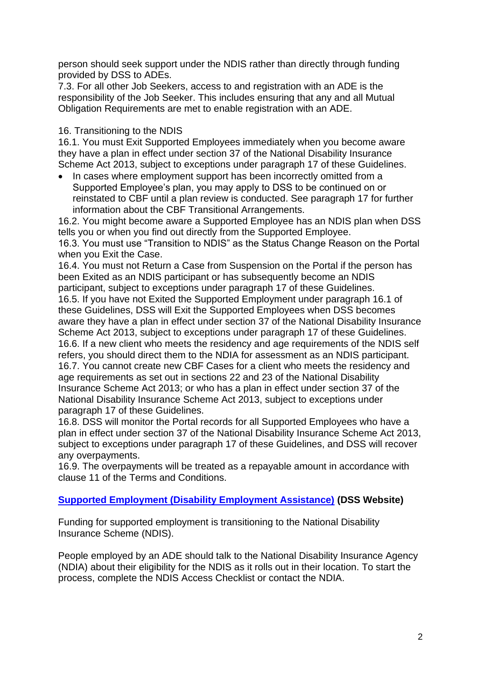person should seek support under the NDIS rather than directly through funding provided by DSS to ADEs.

7.3. For all other Job Seekers, access to and registration with an ADE is the responsibility of the Job Seeker. This includes ensuring that any and all Mutual Obligation Requirements are met to enable registration with an ADE.

## 16. Transitioning to the NDIS

16.1. You must Exit Supported Employees immediately when you become aware they have a plan in effect under section 37 of the National Disability Insurance Scheme Act 2013, subject to exceptions under paragraph 17 of these Guidelines.

• In cases where employment support has been incorrectly omitted from a Supported Employee's plan, you may apply to DSS to be continued on or reinstated to CBF until a plan review is conducted. See paragraph 17 for further information about the CBF Transitional Arrangements.

16.2. You might become aware a Supported Employee has an NDIS plan when DSS tells you or when you find out directly from the Supported Employee.

16.3. You must use "Transition to NDIS" as the Status Change Reason on the Portal when you Exit the Case.

16.4. You must not Return a Case from Suspension on the Portal if the person has been Exited as an NDIS participant or has subsequently become an NDIS participant, subject to exceptions under paragraph 17 of these Guidelines.

16.5. If you have not Exited the Supported Employment under paragraph 16.1 of these Guidelines, DSS will Exit the Supported Employees when DSS becomes aware they have a plan in effect under section 37 of the National Disability Insurance Scheme Act 2013, subject to exceptions under paragraph 17 of these Guidelines. 16.6. If a new client who meets the residency and age requirements of the NDIS self refers, you should direct them to the NDIA for assessment as an NDIS participant. 16.7. You cannot create new CBF Cases for a client who meets the residency and age requirements as set out in sections 22 and 23 of the National Disability Insurance Scheme Act 2013; or who has a plan in effect under section 37 of the National Disability Insurance Scheme Act 2013, subject to exceptions under paragraph 17 of these Guidelines.

16.8. DSS will monitor the Portal records for all Supported Employees who have a plan in effect under section 37 of the National Disability Insurance Scheme Act 2013, subject to exceptions under paragraph 17 of these Guidelines, and DSS will recover any overpayments.

16.9. The overpayments will be treated as a repayable amount in accordance with clause 11 of the Terms and Conditions.

## **[Supported Employment \(Disability Employment Assistance\)](https://www.dss.gov.au/disability-and-carers-programmes-services-for-people-with-disability/australian-disability-enterprises-transition-to-the-national-disability-insurance-scheme) (DSS Website)**

Funding for supported employment is transitioning to the National Disability Insurance Scheme (NDIS).

People employed by an ADE should talk to the National Disability Insurance Agency (NDIA) about their eligibility for the NDIS as it rolls out in their location. To start the process, complete the NDIS Access Checklist or contact the NDIA.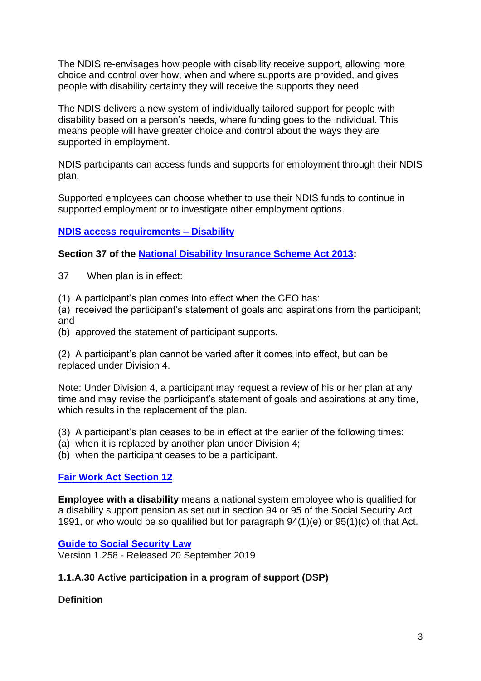The NDIS re-envisages how people with disability receive support, allowing more choice and control over how, when and where supports are provided, and gives people with disability certainty they will receive the supports they need.

The NDIS delivers a new system of individually tailored support for people with disability based on a person's needs, where funding goes to the individual. This means people will have greater choice and control about the ways they are supported in employment.

NDIS participants can access funds and supports for employment through their NDIS plan.

Supported employees can choose whether to use their NDIS funds to continue in supported employment or to investigate other employment options.

## **[NDIS access requirements –](https://www.ndis.gov.au/about-us/operational-guidelines/access-ndis-operational-guideline/access-ndis-disability-requirements) Disability**

**Section 37 of the [National Disability Insurance Scheme Act 2013:](https://www.legislation.gov.au/Details/C2013A00020)**

- 37 When plan is in effect:
- (1) A participant's plan comes into effect when the CEO has:

(a) received the participant's statement of goals and aspirations from the participant; and

(b) approved the statement of participant supports.

(2) A participant's plan cannot be varied after it comes into effect, but can be replaced under Division 4.

Note: Under Division 4, a participant may request a review of his or her plan at any time and may revise the participant's statement of goals and aspirations at any time, which results in the replacement of the plan.

(3) A participant's plan ceases to be in effect at the earlier of the following times:

(a) when it is replaced by another plan under Division 4;

(b) when the participant ceases to be a participant.

## **[Fair Work Act Section 12](https://www.legislation.gov.au/Details/C2017C00323)**

**Employee with a disability** means a national system employee who is qualified for a disability support pension as set out in section 94 or 95 of the Social Security Act 1991, or who would be so qualified but for paragraph 94(1)(e) or 95(1)(c) of that Act.

**[Guide to Social Security Law](http://guides.dss.gov.au/guide-social-security-law/1/1/a/30)** Version 1.258 - Released 20 September 2019

## **1.1.A.30 Active participation in a program of support (DSP)**

**Definition**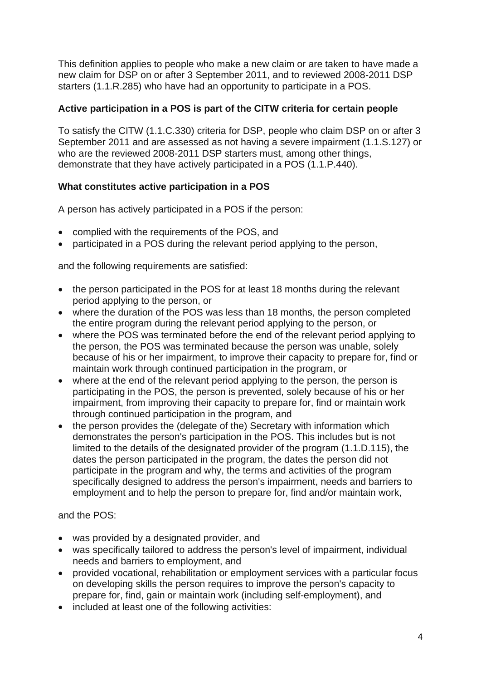This definition applies to people who make a new claim or are taken to have made a new claim for DSP on or after 3 September 2011, and to reviewed 2008-2011 DSP starters (1.1.R.285) who have had an opportunity to participate in a POS.

## **Active participation in a POS is part of the CITW criteria for certain people**

To satisfy the CITW (1.1.C.330) criteria for DSP, people who claim DSP on or after 3 September 2011 and are assessed as not having a severe impairment (1.1.S.127) or who are the reviewed 2008-2011 DSP starters must, among other things, demonstrate that they have actively participated in a POS (1.1.P.440).

## **What constitutes active participation in a POS**

A person has actively participated in a POS if the person:

- complied with the requirements of the POS, and
- participated in a POS during the relevant period applying to the person,

and the following requirements are satisfied:

- the person participated in the POS for at least 18 months during the relevant period applying to the person, or
- where the duration of the POS was less than 18 months, the person completed the entire program during the relevant period applying to the person, or
- where the POS was terminated before the end of the relevant period applying to the person, the POS was terminated because the person was unable, solely because of his or her impairment, to improve their capacity to prepare for, find or maintain work through continued participation in the program, or
- where at the end of the relevant period applying to the person, the person is participating in the POS, the person is prevented, solely because of his or her impairment, from improving their capacity to prepare for, find or maintain work through continued participation in the program, and
- the person provides the (delegate of the) Secretary with information which demonstrates the person's participation in the POS. This includes but is not limited to the details of the designated provider of the program (1.1.D.115), the dates the person participated in the program, the dates the person did not participate in the program and why, the terms and activities of the program specifically designed to address the person's impairment, needs and barriers to employment and to help the person to prepare for, find and/or maintain work,

and the POS:

- was provided by a designated provider, and
- was specifically tailored to address the person's level of impairment, individual needs and barriers to employment, and
- provided vocational, rehabilitation or employment services with a particular focus on developing skills the person requires to improve the person's capacity to prepare for, find, gain or maintain work (including self-employment), and
- included at least one of the following activities: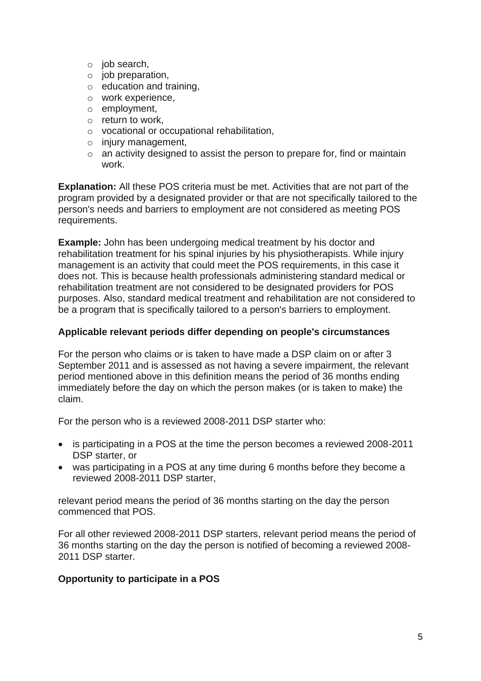- o job search,
- o job preparation,
- o education and training,
- o work experience,
- o employment,
- o return to work,
- o vocational or occupational rehabilitation,
- o injury management,
- o an activity designed to assist the person to prepare for, find or maintain work.

**Explanation:** All these POS criteria must be met. Activities that are not part of the program provided by a designated provider or that are not specifically tailored to the person's needs and barriers to employment are not considered as meeting POS requirements.

**Example:** John has been undergoing medical treatment by his doctor and rehabilitation treatment for his spinal injuries by his physiotherapists. While injury management is an activity that could meet the POS requirements, in this case it does not. This is because health professionals administering standard medical or rehabilitation treatment are not considered to be designated providers for POS purposes. Also, standard medical treatment and rehabilitation are not considered to be a program that is specifically tailored to a person's barriers to employment.

## **Applicable relevant periods differ depending on people's circumstances**

For the person who claims or is taken to have made a DSP claim on or after 3 September 2011 and is assessed as not having a severe impairment, the relevant period mentioned above in this definition means the period of 36 months ending immediately before the day on which the person makes (or is taken to make) the claim.

For the person who is a reviewed 2008-2011 DSP starter who:

- is participating in a POS at the time the person becomes a reviewed 2008-2011 DSP starter, or
- was participating in a POS at any time during 6 months before they become a reviewed 2008-2011 DSP starter,

relevant period means the period of 36 months starting on the day the person commenced that POS.

For all other reviewed 2008-2011 DSP starters, relevant period means the period of 36 months starting on the day the person is notified of becoming a reviewed 2008- 2011 DSP starter.

## **Opportunity to participate in a POS**